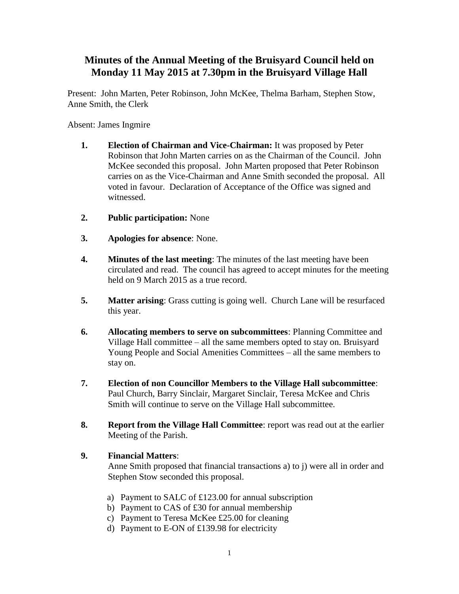## **Minutes of the Annual Meeting of the Bruisyard Council held on Monday 11 May 2015 at 7.30pm in the Bruisyard Village Hall**

Present: John Marten, Peter Robinson, John McKee, Thelma Barham, Stephen Stow, Anne Smith, the Clerk

Absent: James Ingmire

- **1. Election of Chairman and Vice-Chairman:** It was proposed by Peter Robinson that John Marten carries on as the Chairman of the Council. John McKee seconded this proposal. John Marten proposed that Peter Robinson carries on as the Vice-Chairman and Anne Smith seconded the proposal. All voted in favour. Declaration of Acceptance of the Office was signed and witnessed.
- **2. Public participation:** None
- **3. Apologies for absence**: None.
- **4. Minutes of the last meeting**: The minutes of the last meeting have been circulated and read. The council has agreed to accept minutes for the meeting held on 9 March 2015 as a true record.
- **5. Matter arising**: Grass cutting is going well. Church Lane will be resurfaced this year.
- **6. Allocating members to serve on subcommittees**: Planning Committee and Village Hall committee – all the same members opted to stay on. Bruisyard Young People and Social Amenities Committees – all the same members to stay on.
- **7. Election of non Councillor Members to the Village Hall subcommittee**: Paul Church, Barry Sinclair, Margaret Sinclair, Teresa McKee and Chris Smith will continue to serve on the Village Hall subcommittee.
- **8. Report from the Village Hall Committee**: report was read out at the earlier Meeting of the Parish.
- **9. Financial Matters**:

Anne Smith proposed that financial transactions a) to j) were all in order and Stephen Stow seconded this proposal.

- a) Payment to SALC of £123.00 for annual subscription
- b) Payment to CAS of £30 for annual membership
- c) Payment to Teresa McKee £25.00 for cleaning
- d) Payment to E-ON of £139.98 for electricity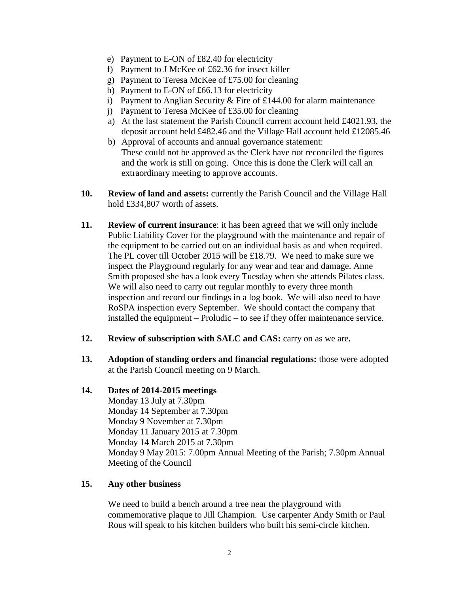- e) Payment to E-ON of £82.40 for electricity
- f) Payment to J McKee of £62.36 for insect killer
- g) Payment to Teresa McKee of £75.00 for cleaning
- h) Payment to E-ON of £66.13 for electricity
- i) Payment to Anglian Security  $&$  Fire of £144.00 for alarm maintenance
- j) Payment to Teresa McKee of £35.00 for cleaning
- a) At the last statement the Parish Council current account held £4021.93, the deposit account held £482.46 and the Village Hall account held £12085.46
- b) Approval of accounts and annual governance statement: These could not be approved as the Clerk have not reconciled the figures and the work is still on going. Once this is done the Clerk will call an extraordinary meeting to approve accounts.
- **10. Review of land and assets:** currently the Parish Council and the Village Hall hold £334,807 worth of assets.
- **11. Review of current insurance**: it has been agreed that we will only include Public Liability Cover for the playground with the maintenance and repair of the equipment to be carried out on an individual basis as and when required. The PL cover till October 2015 will be £18.79. We need to make sure we inspect the Playground regularly for any wear and tear and damage. Anne Smith proposed she has a look every Tuesday when she attends Pilates class. We will also need to carry out regular monthly to every three month inspection and record our findings in a log book. We will also need to have RoSPA inspection every September. We should contact the company that installed the equipment – Proludic – to see if they offer maintenance service.
- **12. Review of subscription with SALC and CAS:** carry on as we are**.**
- **13. Adoption of standing orders and financial regulations:** those were adopted at the Parish Council meeting on 9 March.

## **14. Dates of 2014-2015 meetings**

Monday 13 July at 7.30pm Monday 14 September at 7.30pm Monday 9 November at 7.30pm Monday 11 January 2015 at 7.30pm Monday 14 March 2015 at 7.30pm Monday 9 May 2015: 7.00pm Annual Meeting of the Parish; 7.30pm Annual Meeting of the Council

## **15. Any other business**

We need to build a bench around a tree near the playground with commemorative plaque to Jill Champion. Use carpenter Andy Smith or Paul Rous will speak to his kitchen builders who built his semi-circle kitchen.